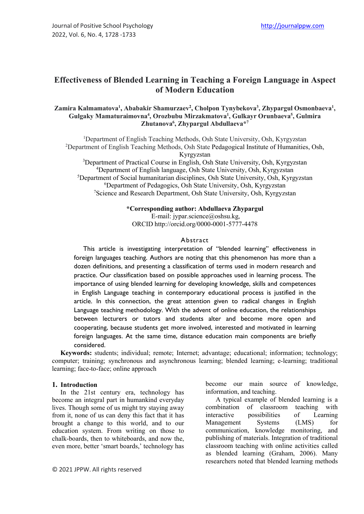# **Effectiveness of Blended Learning in Teaching a Foreign Language in Aspect of Modern Education**

#### Zamira Kalmamatova<sup>1</sup>, Ababakir Shamurzaev<sup>2</sup>, Cholpon Tynybekova<sup>3</sup>, Zhypargul Osmonbaeva<sup>1</sup>, **Gulgaky Mamaturaimovna4 , Orozbubu Mirzakmatova1 , Gulkayr Orunbaeva5 , Gulmira Zhutanova6 , Zhypargul Abdullaeva\*7**

<sup>1</sup>Department of English Teaching Methods, Osh State University, Osh, Kyrgyzstan <sup>2</sup>Department of English Teaching Methods, Osh State Pedagogical Institute of Humanities, Osh, Kyrgyzstan

<sup>3</sup>Department of Practical Course in English, Osh State University, Osh, Kyrgyzstan 4 Department of English language, Osh State University, Osh, Kyrgyzstan 5 Department of Social humanitarian disciplines, Osh State University, Osh, Kyrgyzstan 6 Department of Pedagogics, Osh State University, Osh, Kyrgyzstan <sup>7</sup>Science and Research Department, Osh State University, Osh, Kyrgyzstan

#### **\*Corresponding author: Abdullaeva Zhypargul**

E-mail: jypar.science@oshsu.kg, ORCID<http://orcid.org/0000-0001-5777-4478>

#### Abstract

This article is investigating interpretation of "blended learning" effectiveness in foreign languages teaching. Authors are noting that this phenomenon has more than a dozen definitions, and presenting a classification of terms used in modern research and practice. Our classification based on possible approaches used in learning process. The importance of using blended learning for developing knowledge, skills and competences in English Language teaching in contemporary educational process is justified in the article. In this connection, the great attention given to radical changes in English Language teaching methodology. With the advent of online education, the relationships between lecturers or tutors and students alter and become more open and cooperating, because students get more involved, interested and motivated in learning foreign languages. At the same time, distance education main components are briefly considered.

**Keywords:** students; individual; remote; Internet; advantage; educational; information; technology; computer; training; synchronous and asynchronous learning; blended learning; e-learning; traditional learning; face-to-face; online approach

#### **1. Introduction**

In the 21st century era, technology has become an integral part in humankind everyday lives. Though some of us might try staying away from it, none of us can deny this fact that it has brought a change to this world, and to our education system. From writing on those to chalk-boards, then to whiteboards, and now the, even more, better 'smart boards,' technology has

become our main source of knowledge, information, and teaching.

A typical example of blended learning is a combination of classroom teaching with interactive possibilities of Learning Management Systems (LMS) for communication, knowledge monitoring, and publishing of materials. Integration of traditional classroom teaching with online activities called as blended learning (Graham, 2006). Many researchers noted that blended learning methods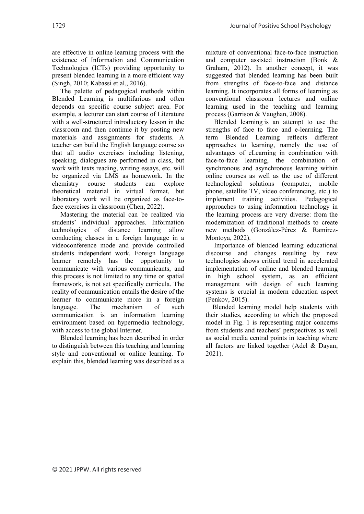are effective in online learning process with the existence of Information and Communication Technologies (ICTs) providing opportunity to present blended learning in a more efficient way (Singh, 2010; Kabassi et al., 2016).

The palette of pedagogical methods within Blended Learning is multifarious and often depends on specific course subject area. For example, a lecturer can start course of Literature with a well-structured introductory lesson in the classroom and then continue it by posting new materials and assignments for students. A teacher can build the English language course so that all audio exercises including listening, speaking, dialogues are performed in class, but work with texts reading, writing essays, etc. will be organized via LMS as homework. In the chemistry course students can explore theoretical material in virtual format, but laboratory work will be organized as face-toface exercises in classroom (Chen, 2022).

Mastering the material can be realized via students' individual approaches. Information technologies of distance learning allow conducting classes in a foreign language in a videoconference mode and provide controlled students independent work. Foreign language learner remotely has the opportunity to communicate with various communicants, and this process is not limited to any time or spatial framework, is not set specifically curricula. The reality of communication entails the desire of the learner to communicate more in a foreign language. The mechanism of such communication is an information learning environment based on hypermedia technology, with access to the global Internet.

Blended learning has been described in order to distinguish between this teaching and learning style and conventional or online learning. To explain this, blended learning was described as a

mixture of conventional face-to-face instruction and computer assisted instruction (Bonk & Graham, 2012). In another concept, it was suggested that blended learning has been built from strengths of face-to-face and distance learning. It incorporates all forms of learning as conventional classroom lectures and online learning used in the teaching and learning process (Garrison & Vaughan, 2008).

Blended learning is an attempt to use the strengths of face to face and e-learning. The term Blended Learning reflects different approaches to learning, namely the use of advantages of eLearning in combination with face-to-face learning, the combination of synchronous and asynchronous learning within online courses as well as the use of different technological solutions (computer, mobile phone, satellite TV, video conferencing, etc.) to implement training activities. Pedagogical approaches to using information technology in the learning process are very diverse: from the modernization of traditional methods to create new methods (González-Pérez & Ramírez-Montoya, 2022).

Importance of blended learning educational discourse and changes resulting by new technologies shows critical trend in accelerated implementation of online and blended learning in high school system, as an efficient management with design of such learning systems is crucial in modern education aspect (Penkov, 2015).

Blended learning model help students with their studies, according to which the proposed model in Fig. 1 is representing major concerns from students and teachers' perspectives as well as social media central points in teaching where all factors are linked together (Adel & Dayan, 2021).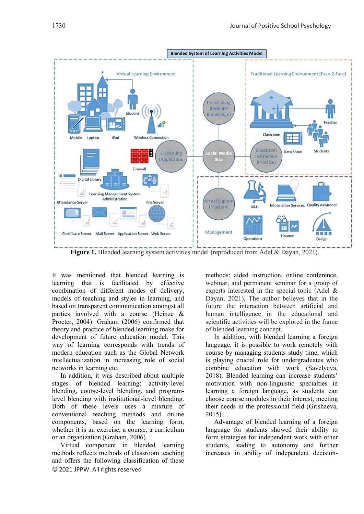

**Figure 1.** Blended learning system activities model (reproduced from Adel & Dayan, 2021).

It was mentioned that blended learning is learning that is facilitated by effective combination of different modes of delivery, models of teaching and styles in learning, and based on transparent communication amongst all parties involved with a course (Heinze & Procter, 2004). Graham (2006) confirmed that theory and practice of blended learning make for development of future education model. This way of learning corresponds with trends of modern education such as the Global Network intellectualization in increasing role of social networks in learning etc.

In addition, it was described about multiple stages of blended learning: activity-level blending, course-level blending, and programlevel blending with institutional-level blending. Both of these levels uses a mixture of conventional teaching methods and online components, based on the learning form, whether it is an exercise, a course, a curriculum or an organization (Graham, 2006).

© 2021 JPPW. All rights reserved Virtual component in blended learning methods reflects methods of classroom teaching and offers the following classification of these

methods: aided instruction, online conference, webinar, and permanent seminar for a group of experts interested in the special topic (Adel & Dayan, 2021). The author believes that in the future the interaction between artificial and human intelligence in the educational and scientific activities will be explored in the frame of blended learning concept.

In addition, with blended learning a foreign language, it is possible to work remotely with course by managing students study time, which is playing crucial role for undergraduates who combine education with work (Savelyeva, 2018). Blended learning can increase students' motivation with non-linguistic specialties in learning a foreign language, as students can choose course modules in their interest, meeting their needs in the professional field (Grishaeva, 2015).

Advantage of blended learning of a foreign language for students showed their ability to form strategies for independent work with other students, leading to autonomy and further increases in ability of independent decision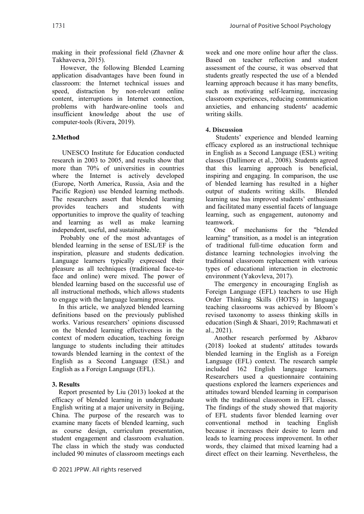making in their professional field (Zhavner & Takhaveeva, 2015).

However, the following Blended Learning application disadvantages have been found in classroom: the Internet technical issues and speed, distraction by non-relevant online content, interruptions in Internet connection, problems with hardware-online tools and insufficient knowledge about the use of computer-tools (Rivera, 2019).

#### **2.Method**

UNESCO Institute for Education conducted research in 2003 to 2005, and results show that more than 70% of universities in countries where the Internet is actively developed (Europe, North America, Russia, Asia and the Pacific Region) use blended learning methods. The researchers assert that blended learning<br>provides teachers and students with provides teachers and students with opportunities to improve the quality of teaching and learning as well as make learning independent, useful, and sustainable.

Probably one of the most advantages of blended learning in the sense of ESL/EF is the inspiration, pleasure and students dedication. Language learners typically expressed their pleasure as all techniques (traditional face-toface and online) were mixed. The power of blended learning based on the successful use of all instructional methods, which allows students to engage with the language learning process.

In this article, we analyzed blended learning definitions based on the previously published works. Various researchers' opinions discussed on the blended learning effectiveness in the context of modern education, teaching foreign language to students including their attitudes towards blended learning in the context of the English as a Second Language (ESL) and English as a Foreign Language (EFL).

#### **3. Results**

Report presented by Liu (2013) looked at the efficacy of blended learning in undergraduate English writing at a major university in Beijing, China. The purpose of the research was to examine many facets of blended learning, such as course design, curriculum presentation, student engagement and classroom evaluation. The class in which the study was conducted included 90 minutes of classroom meetings each

week and one more online hour after the class. Based on teacher reflection and student assessment of the course, it was observed that students greatly respected the use of a blended learning approach because it has many benefits, such as motivating self-learning, increasing classroom experiences, reducing communication anxieties, and enhancing students' academic writing skills.

#### **4. Discussion**

Students' experience and blended learning efficacy explored as an instructional technique in English as a Second Language (ESL) writing classes (Dallimore et al., 2008). Students agreed that this learning approach is beneficial, inspiring and engaging. In comparison, the use of blended learning has resulted in a higher output of students writing skills. Blended learning use has improved students' enthusiasm and facilitated many essential facets of language learning, such as engagement, autonomy and teamwork.

One of mechanisms for the "blended learning" transition, as a model is an integration of traditional full-time education form and distance learning technologies involving the traditional classroom replacement with various types of educational interaction in electronic environment (Yakovleva, 2017).

The emergency in encouraging English as Foreign Language (EFL) teachers to use High Order Thinking Skills (HOTS) in language teaching classrooms was achieved by Bloom's revised taxonomy to assess thinking skills in education (Singh & Shaari, 2019; Rachmawati et al., 2021).

Another research performed by Akbarov (2018) looked at students' attitudes towards blended learning in the English as a Foreign Language (EFL) context. The research sample included 162 English language learners. Researchers used a questionnaire containing questions explored the learners experiences and attitudes toward blended learning in comparison with the traditional classroom in EFL classes. The findings of the study showed that majority of EFL students favor blended learning over conventional method in teaching English because it increases their desire to learn and leads to learning process improvement. In other words, they claimed that mixed learning had a direct effect on their learning. Nevertheless, the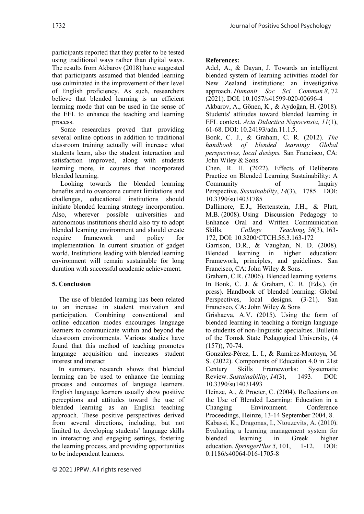participants reported that they prefer to be tested using traditional ways rather than digital ways. The results from Akbarov (2018) have suggested that participants assumed that blended learning use culminated in the improvement of their level of English proficiency. As such, researchers believe that blended learning is an efficient learning mode that can be used in the sense of the EFL to enhance the teaching and learning process.

Some researches proved that providing several online options in addition to traditional classroom training actually will increase what students learn, also the student interaction and satisfaction improved, along with students learning more, in courses that incorporated blended learning.

Looking towards the blended learning benefits and to overcome current limitations and challenges, educational institutions should initiate blended learning strategy incorporation. Also, wherever possible universities and autonomous institutions should also try to adopt blended learning environment and should create require framework and policy for implementation. In current situation of gadget world, Institutions leading with blended learning environment will remain sustainable for long duration with successful academic achievement.

## **5. Conclusion**

The use of blended learning has been related to an increase in student motivation and participation. Combining conventional and online education modes encourages language learners to communicate within and beyond the classroom environments. Various studies have found that this method of teaching promotes language acquisition and increases student interest and interact

In summary, research shows that blended learning can be used to enhance the learning process and outcomes of language learners. English language learners usually show positive perceptions and attitudes toward the use of blended learning as an English teaching approach. These positive perspectives derived from several directions, including, but not limited to, developing students' language skills in interacting and engaging settings, fostering the learning process, and providing opportunities to be independent learners.

### **References:**

Adel, A., & Dayan, J. Towards an intelligent blended system of learning activities model for New Zealand institutions: an investigative approach. *Humanit Soc Sci Commun 8,* 72 (2021). [DOI: 10.1057/s41599-020-00696-4](https://doi.org/10.1057/s41599-020-00696-4)

Akbarov, A., Gönen, K., & Aydoğan, H. (2018). Students' attitudes toward blended learning in EFL context. *Acta Didactica Napocensia, 11*(1), 61-68. DOI: 10.24193/adn.11.1.5.

Bonk, C. J., & Graham, C. R. (2012). *The handbook of blended learning: Global perspectives, local designs.* San Francisco, CA: John Wiley & Sons.

Chen, R. H. (2022). Effects of Deliberate Practice on Blended Learning Sustainability: A Community of Inquiry Perspective. *Sustainability*, *14*(3), 1785. [DOI:](http://dx.doi.org/10.3390/su14031785)  [10.3390/su14031785](http://dx.doi.org/10.3390/su14031785)

Dallimore, E.J., Hertenstein, J.H., & Platt, M.B. (2008). Using Discussion Pedagogy to Enhance Oral and Written Communication Skills. *College Teaching, 56*(3), 163- 172, DOI: [10.3200/CTCH.56.3.163-172](https://doi.org/10.3200/CTCH.56.3.163-172)

Garrison, D.R., & Vaughan, N. D. (2008). Blended learning in higher education: Framework, principles, and guidelines. San Francisco, CA: John Wiley & Sons.

Graham, C.R. (2006). Blended learning systems. In Bonk, C. J. & Graham, C. R. (Eds.). (in press). Handbook of blended learning: Global Perspectives, local designs. (3-21). San Francisco, CA: John Wiley & Sons

Grishaeva, A.V. (2015). Using the form of blended learning in teaching a foreign language to students of non-linguistic specialties. Bulletin of the Tomsk State Pedagogical University, (4 (157)), 70-74.

González-Pérez, L. I., & Ramírez-Montoya, M. S. (2022). Components of Education 4.0 in 21st Century Skills Frameworks: Systematic Review. *Sustainability*, *14*(3), 1493. DOI: 10.3390/su14031493

Heinze, A., & Procter, C. (2004). Reflections on the Use of Blended Learning: Education in a Changing Environment. Conference Proceedings, Heinze, 13-14 September 2004, 8. Kabassi, K., Dragonas, I., Ntouzevits, A. (2010). Evaluating a learning management system for blended learning in Greek higher education. *SpringerPlus 5,* 101, 1-12. [DOI:](https://doi.org/10.1186/s40064-016-1705-8)  [0.1186/s40064-016-1705-8](https://doi.org/10.1186/s40064-016-1705-8)